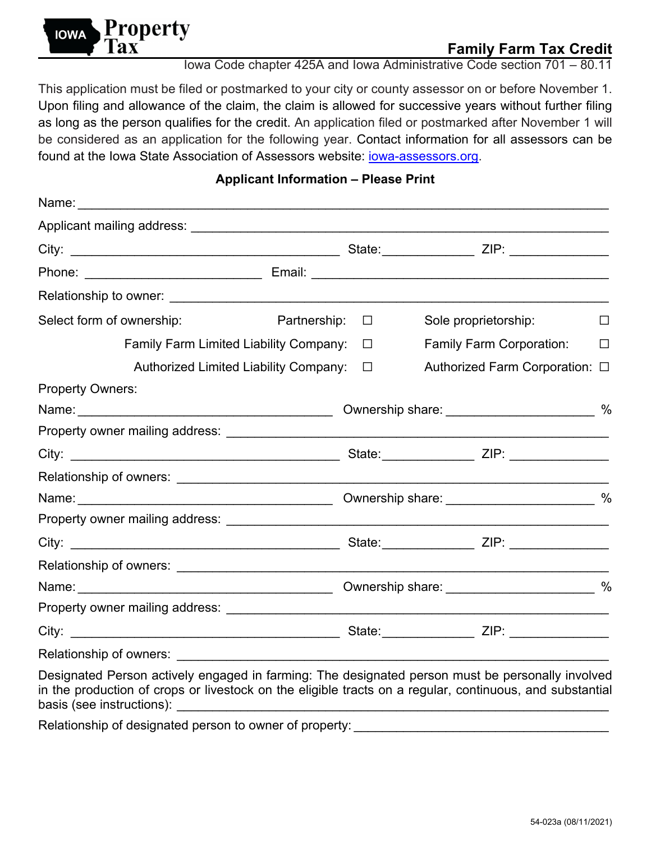

## **Family Farm Tax Credit**

Iowa Code chapter 425A and Iowa Administrative Code section 701 – 80.11

This application must be filed or postmarked to your city or county assessor on or before November 1. Upon filing and allowance of the claim, the claim is allowed for successive years without further filing as long as the person qualifies for the credit. An application filed or postmarked after November 1 will be considered as an application for the following year. Contact information for all assessors can be found at the Iowa State Association of Assessors website: *iowa-assessors.org.* 

## **Applicant Information – Please Print**

| Select form of ownership:                                                                                                                                                                                                                                                                                                                                                                                                                     | Partnership: $\square$ |  | Sole proprietorship:            | $\perp$ |
|-----------------------------------------------------------------------------------------------------------------------------------------------------------------------------------------------------------------------------------------------------------------------------------------------------------------------------------------------------------------------------------------------------------------------------------------------|------------------------|--|---------------------------------|---------|
| <b>Family Farm Limited Liability Company:</b>                                                                                                                                                                                                                                                                                                                                                                                                 | $\Box$                 |  | <b>Family Farm Corporation:</b> | $\perp$ |
| Authorized Limited Liability Company:                                                                                                                                                                                                                                                                                                                                                                                                         | $\Box$                 |  | Authorized Farm Corporation: □  |         |
| <b>Property Owners:</b>                                                                                                                                                                                                                                                                                                                                                                                                                       |                        |  |                                 |         |
|                                                                                                                                                                                                                                                                                                                                                                                                                                               |                        |  |                                 |         |
|                                                                                                                                                                                                                                                                                                                                                                                                                                               |                        |  |                                 |         |
|                                                                                                                                                                                                                                                                                                                                                                                                                                               |                        |  |                                 |         |
|                                                                                                                                                                                                                                                                                                                                                                                                                                               |                        |  |                                 |         |
|                                                                                                                                                                                                                                                                                                                                                                                                                                               |                        |  |                                 |         |
|                                                                                                                                                                                                                                                                                                                                                                                                                                               |                        |  |                                 |         |
|                                                                                                                                                                                                                                                                                                                                                                                                                                               |                        |  |                                 |         |
|                                                                                                                                                                                                                                                                                                                                                                                                                                               |                        |  |                                 |         |
|                                                                                                                                                                                                                                                                                                                                                                                                                                               |                        |  |                                 |         |
|                                                                                                                                                                                                                                                                                                                                                                                                                                               |                        |  |                                 |         |
|                                                                                                                                                                                                                                                                                                                                                                                                                                               |                        |  |                                 |         |
|                                                                                                                                                                                                                                                                                                                                                                                                                                               |                        |  |                                 |         |
| Designated Person actively engaged in farming: The designated person must be personally involved<br>in the production of crops or livestock on the eligible tracts on a regular, continuous, and substantial<br>basis (see instructions): example and the set of the set of the set of the set of the set of the set of the set of the set of the set of the set of the set of the set of the set of the set of the set of the set of the set |                        |  |                                 |         |

Relationship of designated person to owner of property: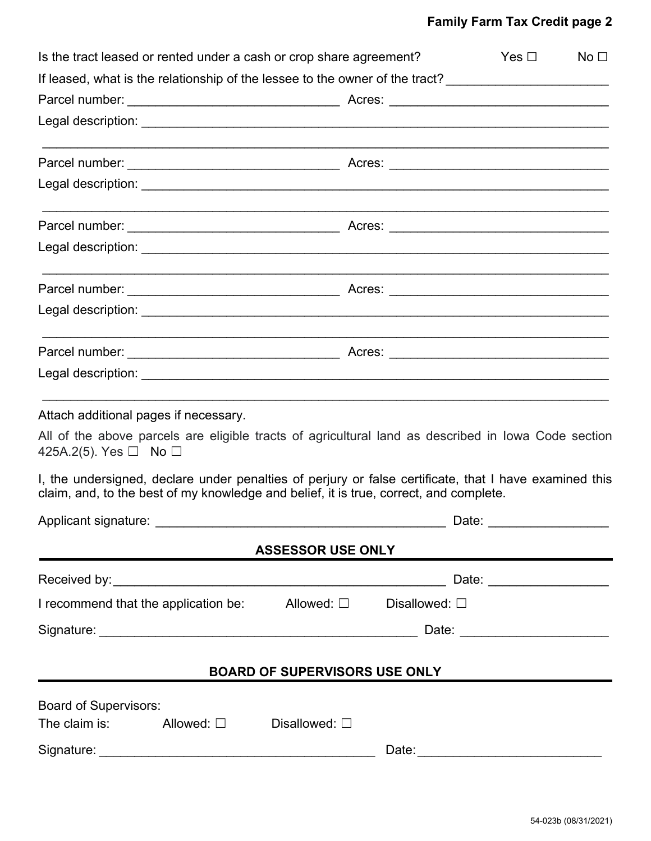## **Family Farm Tax Credit page 2**

| Is the tract leased or rented under a cash or crop share agreement?                                                                                                                              |                          |                                      | Yes $\Box$                                                                                                     | No <sub>1</sub> |
|--------------------------------------------------------------------------------------------------------------------------------------------------------------------------------------------------|--------------------------|--------------------------------------|----------------------------------------------------------------------------------------------------------------|-----------------|
| If leased, what is the relationship of the lessee to the owner of the tract? ________________________________                                                                                    |                          |                                      |                                                                                                                |                 |
|                                                                                                                                                                                                  |                          |                                      |                                                                                                                |                 |
|                                                                                                                                                                                                  |                          |                                      |                                                                                                                |                 |
|                                                                                                                                                                                                  |                          |                                      |                                                                                                                |                 |
|                                                                                                                                                                                                  |                          |                                      |                                                                                                                |                 |
|                                                                                                                                                                                                  |                          |                                      |                                                                                                                |                 |
|                                                                                                                                                                                                  |                          |                                      |                                                                                                                |                 |
|                                                                                                                                                                                                  |                          |                                      |                                                                                                                |                 |
|                                                                                                                                                                                                  |                          |                                      |                                                                                                                |                 |
|                                                                                                                                                                                                  |                          |                                      |                                                                                                                |                 |
|                                                                                                                                                                                                  |                          |                                      |                                                                                                                |                 |
| Attach additional pages if necessary.                                                                                                                                                            |                          |                                      |                                                                                                                |                 |
| All of the above parcels are eligible tracts of agricultural land as described in Iowa Code section<br>425A.2(5). Yes $\Box$ No $\Box$                                                           |                          |                                      |                                                                                                                |                 |
| I, the undersigned, declare under penalties of perjury or false certificate, that I have examined this<br>claim, and, to the best of my knowledge and belief, it is true, correct, and complete. |                          |                                      |                                                                                                                |                 |
| Applicant signature:                                                                                                                                                                             |                          | Date:                                |                                                                                                                |                 |
| the control of the control of the control of the control of the control of                                                                                                                       | <b>ASSESSOR USE ONLY</b> |                                      |                                                                                                                |                 |
|                                                                                                                                                                                                  |                          |                                      |                                                                                                                |                 |
| I recommend that the application be: $\Box$ Allowed: $\Box$                                                                                                                                      |                          | Disallowed: □                        |                                                                                                                |                 |
|                                                                                                                                                                                                  |                          |                                      |                                                                                                                |                 |
|                                                                                                                                                                                                  |                          | <b>BOARD OF SUPERVISORS USE ONLY</b> |                                                                                                                |                 |
|                                                                                                                                                                                                  |                          |                                      |                                                                                                                |                 |
| <b>Board of Supervisors:</b><br>The claim is: $\Box$ Disallowed: $\Box$                                                                                                                          |                          |                                      |                                                                                                                |                 |
|                                                                                                                                                                                                  |                          |                                      | Date: 2008. 2008. 2010. 2010. 2010. 2010. 2010. 2010. 2010. 2011. 2012. 2012. 2013. 2014. 2014. 2015. 2016. 20 |                 |
|                                                                                                                                                                                                  |                          |                                      |                                                                                                                |                 |